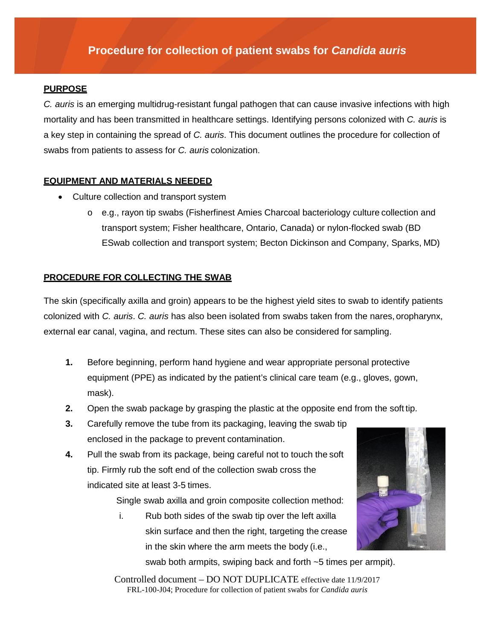# **Procedure for collection of patient swabs for** *Candida auris*

#### **PURPOSE**

*C. auris* is an emerging multidrug-resistant fungal pathogen that can cause invasive infections with high mortality and has been transmitted in healthcare settings. Identifying persons colonized with *C. auris* is a key step in containing the spread of *C. auris*. This document outlines the procedure for collection of swabs from patients to assess for *C. auris* colonization.

#### **EQUIPMENT AND MATERIALS NEEDED**

- Culture collection and transport system
	- o e.g., rayon tip swabs (Fisherfinest Amies Charcoal bacteriology culture collection and transport system; Fisher healthcare, Ontario, Canada) or nylon-flocked swab (BD ESwab collection and transport system; Becton Dickinson and Company, Sparks, MD)

#### **PROCEDURE FOR COLLECTING THE SWAB**

The skin (specifically axilla and groin) appears to be the highest yield sites to swab to identify patients colonized with *C. auris*. *C. auris* has also been isolated from swabs taken from the nares, oropharynx, external ear canal, vagina, and rectum. These sites can also be considered for sampling.

- **1.** Before beginning, perform hand hygiene and wear appropriate personal protective equipment (PPE) as indicated by the patient's clinical care team (e.g., gloves, gown, mask).
- **2.** Open the swab package by grasping the plastic at the opposite end from the soft tip.
- **3.** Carefully remove the tube from its packaging, leaving the swab tip enclosed in the package to prevent contamination.
- **4.** Pull the swab from its package, being careful not to touch the soft tip. Firmly rub the soft end of the collection swab cross the indicated site at least 3-5 times.

Single swab axilla and groin composite collection method:

i. Rub both sides of the swab tip over the left axilla skin surface and then the right, targeting the crease in the skin where the arm meets the body (i.e.,



swab both armpits, swiping back and forth ~5 times per armpit).

Controlled document – DO NOT DUPLICATE effective date 11/9/2017 FRL-100-J04; Procedure for collection of patient swabs for *Candida auris*